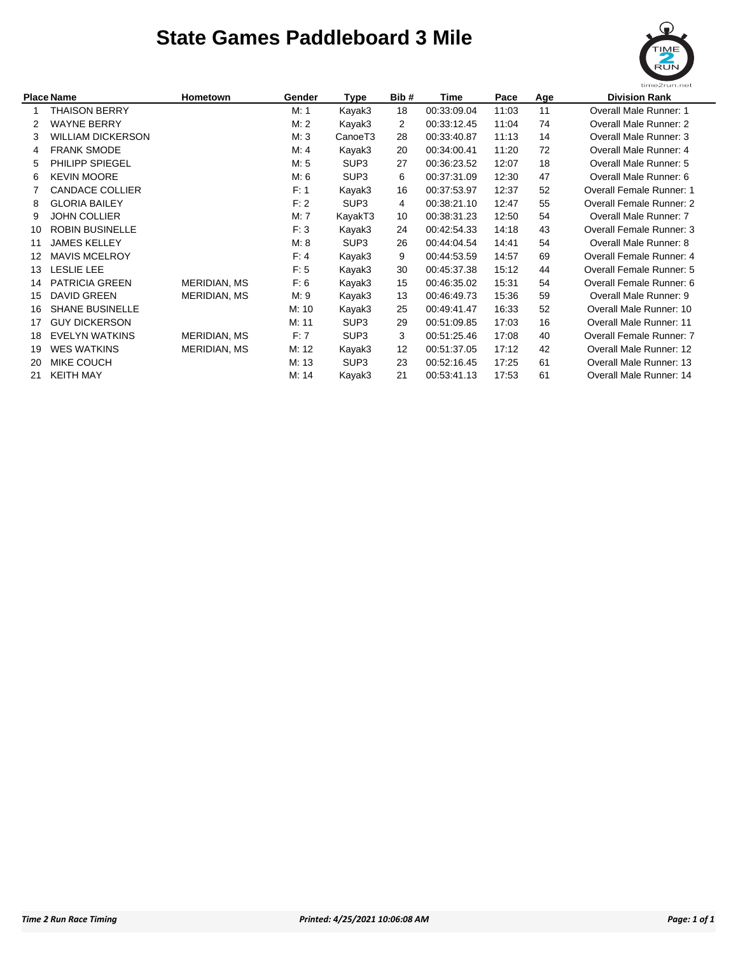## **State Games Paddleboard 3 Mile**



| <b>Place Name</b> |                          | Hometown     | Gender | Type                | Bib# | Time        | Pace  | Age | <b>Division Rank</b>           |
|-------------------|--------------------------|--------------|--------|---------------------|------|-------------|-------|-----|--------------------------------|
|                   | <b>THAISON BERRY</b>     |              | M: 1   | Kayak3              | 18   | 00:33:09.04 | 11:03 | 11  | <b>Overall Male Runner: 1</b>  |
| 2                 | <b>WAYNE BERRY</b>       |              | M: 2   | Kayak3              | 2    | 00:33:12.45 | 11:04 | 74  | Overall Male Runner: 2         |
| 3                 | <b>WILLIAM DICKERSON</b> |              | M:3    | CanoeT <sub>3</sub> | 28   | 00:33:40.87 | 11:13 | 14  | Overall Male Runner: 3         |
| 4                 | <b>FRANK SMODE</b>       |              | M: 4   | Kayak3              | 20   | 00:34:00.41 | 11:20 | 72  | Overall Male Runner: 4         |
| 5                 | <b>PHILIPP SPIEGEL</b>   |              | M: 5   | SUP <sub>3</sub>    | 27   | 00:36:23.52 | 12:07 | 18  | Overall Male Runner: 5         |
| 6                 | <b>KEVIN MOORE</b>       |              | M: 6   | SUP <sub>3</sub>    | 6    | 00:37:31.09 | 12:30 | 47  | Overall Male Runner: 6         |
|                   | <b>CANDACE COLLIER</b>   |              | F: 1   | Kayak3              | 16   | 00:37:53.97 | 12:37 | 52  | Overall Female Runner: 1       |
| 8                 | <b>GLORIA BAILEY</b>     |              | F: 2   | SUP <sub>3</sub>    | 4    | 00:38:21.10 | 12:47 | 55  | Overall Female Runner: 2       |
| 9                 | <b>JOHN COLLIER</b>      |              | M: 7   | KayakT3             | 10   | 00:38:31.23 | 12:50 | 54  | Overall Male Runner: 7         |
| 10                | <b>ROBIN BUSINELLE</b>   |              | F: 3   | Kayak3              | 24   | 00:42:54.33 | 14:18 | 43  | Overall Female Runner: 3       |
| 11                | <b>JAMES KELLEY</b>      |              | M: 8   | SUP <sub>3</sub>    | 26   | 00:44:04.54 | 14:41 | 54  | Overall Male Runner: 8         |
| 12                | <b>MAVIS MCELROY</b>     |              | F: 4   | Kayak3              | 9    | 00:44:53.59 | 14:57 | 69  | Overall Female Runner: 4       |
| 13                | <b>LESLIE LEE</b>        |              | F: 5   | Kayak3              | 30   | 00:45:37.38 | 15:12 | 44  | Overall Female Runner: 5       |
| 14                | <b>PATRICIA GREEN</b>    | MERIDIAN, MS | F: 6   | Kayak3              | 15   | 00:46:35.02 | 15:31 | 54  | Overall Female Runner: 6       |
| 15                | <b>DAVID GREEN</b>       | MERIDIAN, MS | M: 9   | Kayak3              | 13   | 00:46:49.73 | 15:36 | 59  | Overall Male Runner: 9         |
| 16                | <b>SHANE BUSINELLE</b>   |              | M: 10  | Kayak3              | 25   | 00:49:41.47 | 16:33 | 52  | Overall Male Runner: 10        |
| 17                | <b>GUY DICKERSON</b>     |              | M: 11  | SUP <sub>3</sub>    | 29   | 00:51:09.85 | 17:03 | 16  | <b>Overall Male Runner: 11</b> |
| 18                | <b>EVELYN WATKINS</b>    | MERIDIAN, MS | F: 7   | SUP <sub>3</sub>    | 3    | 00:51:25.46 | 17:08 | 40  | Overall Female Runner: 7       |
| 19                | <b>WES WATKINS</b>       | MERIDIAN, MS | M: 12  | Kayak3              | 12   | 00:51:37.05 | 17:12 | 42  | <b>Overall Male Runner: 12</b> |
| 20                | MIKE COUCH               |              | M: 13  | SUP <sub>3</sub>    | 23   | 00:52:16.45 | 17:25 | 61  | Overall Male Runner: 13        |
| 21                | <b>KEITH MAY</b>         |              | M: 14  | Kayak3              | 21   | 00:53:41.13 | 17:53 | 61  | Overall Male Runner: 14        |
|                   |                          |              |        |                     |      |             |       |     |                                |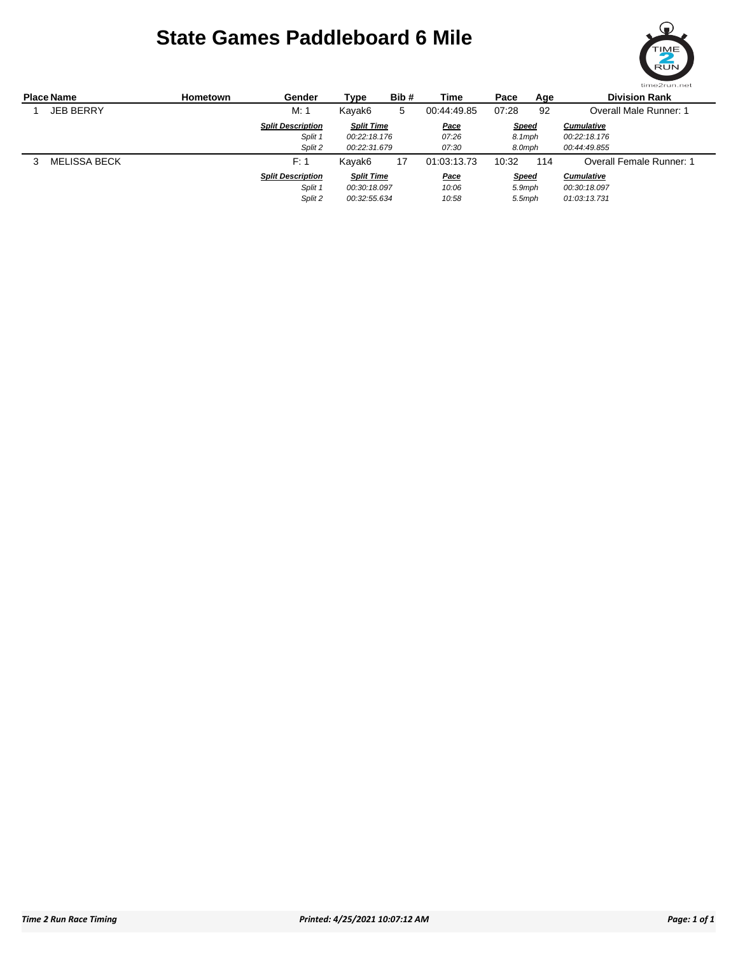## **State Games Paddleboard 6 Mile**



| <b>Place Name</b> |                  | <b>Hometown</b> | Gender                   | Type              | Bib# | Time        | Pace         | Age | <b>Division Rank</b>            |  |
|-------------------|------------------|-----------------|--------------------------|-------------------|------|-------------|--------------|-----|---------------------------------|--|
|                   | <b>JEB BERRY</b> |                 | M: 1                     | Kayak6            | 5    | 00:44:49.85 | 07:28        | 92  | Overall Male Runner: 1          |  |
|                   |                  |                 | <b>Split Description</b> | <b>Split Time</b> |      | <b>Pace</b> | <b>Speed</b> |     | <b>Cumulative</b>               |  |
|                   |                  |                 | Split 1                  | 00:22:18.176      |      | 07:26       | 8.1mph       |     | 00:22:18.176                    |  |
|                   |                  |                 | Split 2                  | 00:22:31.679      |      | 07:30       | 8.0mph       |     | 00:44:49.855                    |  |
|                   | MELISSA BECK     |                 | F: 1                     | Kayak6            | 17   | 01:03:13.73 | 10:32        | 114 | <b>Overall Female Runner: 1</b> |  |
|                   |                  |                 | <b>Split Description</b> | <b>Split Time</b> |      | <u>Pace</u> | <b>Speed</b> |     | <b>Cumulative</b>               |  |
|                   |                  |                 | Split 1                  | 00:30:18.097      |      | 10:06       | 5.9mph       |     | 00:30:18.097                    |  |
|                   |                  |                 | Split 2                  | 00:32:55.634      |      | 10:58       | 5.5mph       |     | 01:03:13.731                    |  |